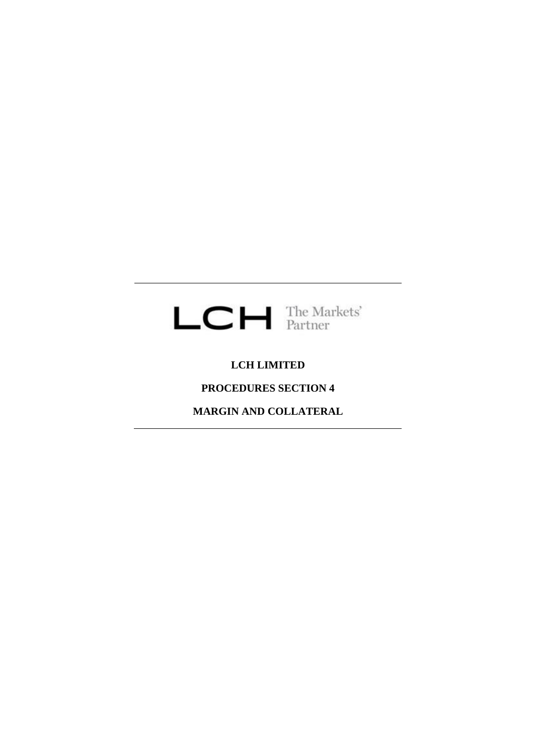

# **LCH LIMITED**

# **PROCEDURES SECTION 4**

**MARGIN AND COLLATERAL**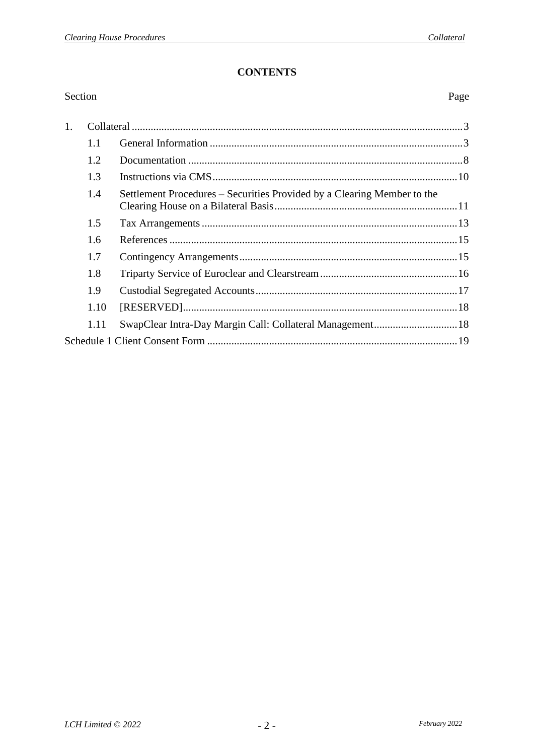Page

# **CONTENTS**

# Section

| 1. |      |                                                                         |  |
|----|------|-------------------------------------------------------------------------|--|
|    | 1.1  |                                                                         |  |
|    | 1.2  |                                                                         |  |
|    | 1.3  |                                                                         |  |
|    | 1.4  | Settlement Procedures - Securities Provided by a Clearing Member to the |  |
|    | 1.5  |                                                                         |  |
|    | 1.6  |                                                                         |  |
|    | 1.7  |                                                                         |  |
|    | 1.8  |                                                                         |  |
|    | 1.9  |                                                                         |  |
|    | 1.10 |                                                                         |  |
|    | 1.11 | SwapClear Intra-Day Margin Call: Collateral Management 18               |  |
|    |      |                                                                         |  |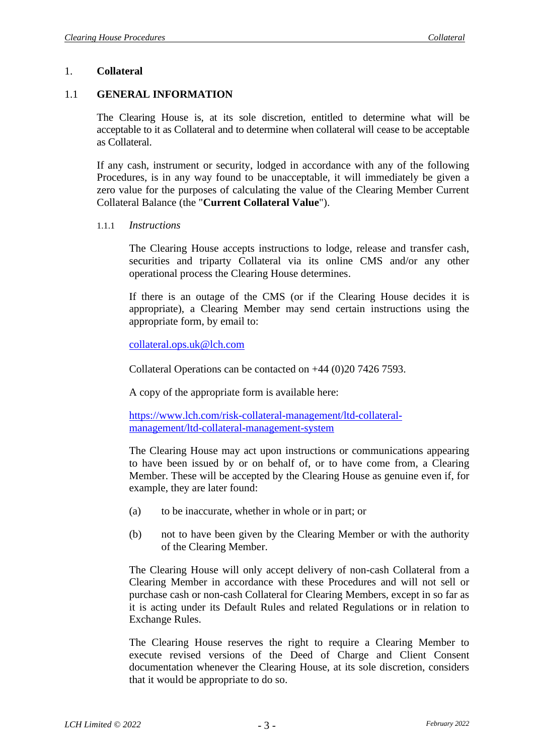#### 1. **Collateral**

#### 1.1 **GENERAL INFORMATION**

The Clearing House is, at its sole discretion, entitled to determine what will be acceptable to it as Collateral and to determine when collateral will cease to be acceptable as Collateral.

If any cash, instrument or security, lodged in accordance with any of the following Procedures, is in any way found to be unacceptable, it will immediately be given a zero value for the purposes of calculating the value of the Clearing Member Current Collateral Balance (the "**Current Collateral Value**").

1.1.1 *Instructions*

The Clearing House accepts instructions to lodge, release and transfer cash, securities and triparty Collateral via its online CMS and/or any other operational process the Clearing House determines.

If there is an outage of the CMS (or if the Clearing House decides it is appropriate), a Clearing Member may send certain instructions using the appropriate form, by email to:

[collateral.ops.uk@lch.com](mailto:collateral.ops.uk@lch.com)

Collateral Operations can be contacted on +44 (0)20 7426 7593.

A copy of the appropriate form is available here:

[https://www.lch.com/risk-collateral-management/ltd-collateral](https://www.lch.com/risk-collateral-management/ltd-collateral-management/ltd-collateral-management-system)[management/ltd-collateral-management-system](https://www.lch.com/risk-collateral-management/ltd-collateral-management/ltd-collateral-management-system)

The Clearing House may act upon instructions or communications appearing to have been issued by or on behalf of, or to have come from, a Clearing Member. These will be accepted by the Clearing House as genuine even if, for example, they are later found:

- (a) to be inaccurate, whether in whole or in part; or
- (b) not to have been given by the Clearing Member or with the authority of the Clearing Member.

The Clearing House will only accept delivery of non-cash Collateral from a Clearing Member in accordance with these Procedures and will not sell or purchase cash or non-cash Collateral for Clearing Members, except in so far as it is acting under its Default Rules and related Regulations or in relation to Exchange Rules.

The Clearing House reserves the right to require a Clearing Member to execute revised versions of the Deed of Charge and Client Consent documentation whenever the Clearing House, at its sole discretion, considers that it would be appropriate to do so.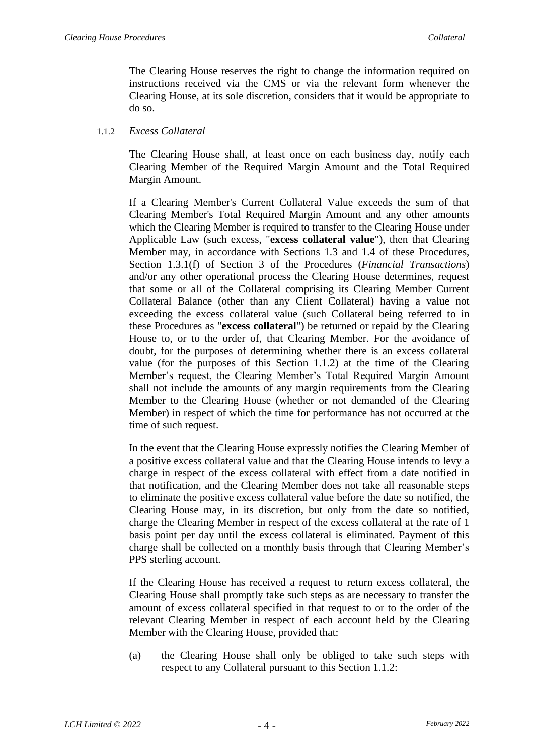The Clearing House reserves the right to change the information required on instructions received via the CMS or via the relevant form whenever the Clearing House, at its sole discretion, considers that it would be appropriate to do so.

# <span id="page-3-0"></span>1.1.2 *Excess Collateral*

The Clearing House shall, at least once on each business day, notify each Clearing Member of the Required Margin Amount and the Total Required Margin Amount.

If a Clearing Member's Current Collateral Value exceeds the sum of that Clearing Member's Total Required Margin Amount and any other amounts which the Clearing Member is required to transfer to the Clearing House under Applicable Law (such excess, "**excess collateral value**"), then that Clearing Member may, in accordance with Sections [1.3](#page-9-0) and [1.4](#page-10-0) of these Procedures, Section 1.3.1(f) of Section 3 of the Procedures (*Financial Transactions*) and/or any other operational process the Clearing House determines, request that some or all of the Collateral comprising its Clearing Member Current Collateral Balance (other than any Client Collateral) having a value not exceeding the excess collateral value (such Collateral being referred to in these Procedures as "**excess collateral**") be returned or repaid by the Clearing House to, or to the order of, that Clearing Member. For the avoidance of doubt, for the purposes of determining whether there is an excess collateral value (for the purposes of this Section 1.1.2) at the time of the Clearing Member's request, the Clearing Member's Total Required Margin Amount shall not include the amounts of any margin requirements from the Clearing Member to the Clearing House (whether or not demanded of the Clearing Member) in respect of which the time for performance has not occurred at the time of such request.

In the event that the Clearing House expressly notifies the Clearing Member of a positive excess collateral value and that the Clearing House intends to levy a charge in respect of the excess collateral with effect from a date notified in that notification, and the Clearing Member does not take all reasonable steps to eliminate the positive excess collateral value before the date so notified, the Clearing House may, in its discretion, but only from the date so notified, charge the Clearing Member in respect of the excess collateral at the rate of 1 basis point per day until the excess collateral is eliminated. Payment of this charge shall be collected on a monthly basis through that Clearing Member's PPS sterling account.

If the Clearing House has received a request to return excess collateral, the Clearing House shall promptly take such steps as are necessary to transfer the amount of excess collateral specified in that request to or to the order of the relevant Clearing Member in respect of each account held by the Clearing Member with the Clearing House, provided that:

(a) the Clearing House shall only be obliged to take such steps with respect to any Collateral pursuant to this Section [1.1.2:](#page-3-0)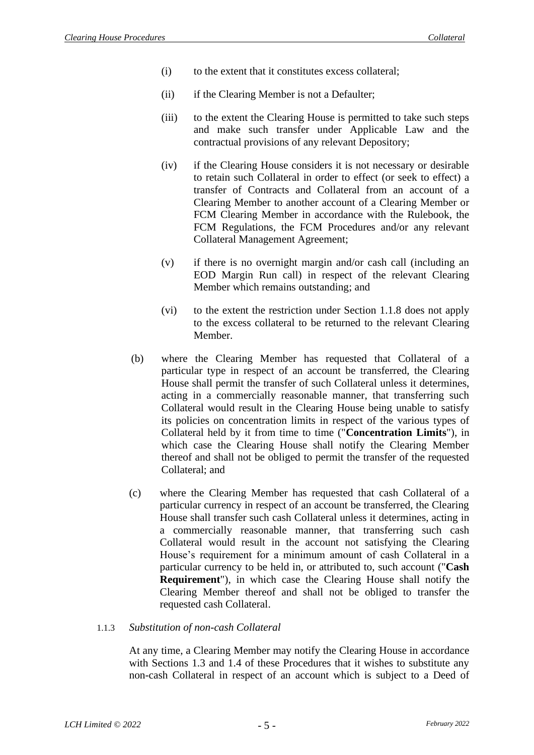- (i) to the extent that it constitutes excess collateral;
- (ii) if the Clearing Member is not a Defaulter;
- (iii) to the extent the Clearing House is permitted to take such steps and make such transfer under Applicable Law and the contractual provisions of any relevant Depository;
- (iv) if the Clearing House considers it is not necessary or desirable to retain such Collateral in order to effect (or seek to effect) a transfer of Contracts and Collateral from an account of a Clearing Member to another account of a Clearing Member or FCM Clearing Member in accordance with the Rulebook, the FCM Regulations, the FCM Procedures and/or any relevant Collateral Management Agreement;
- (v) if there is no overnight margin and/or cash call (including an EOD Margin Run call) in respect of the relevant Clearing Member which remains outstanding; and
- (vi) to the extent the restriction under Section 1.1.8 does not apply to the excess collateral to be returned to the relevant Clearing Member.
- (b) where the Clearing Member has requested that Collateral of a particular type in respect of an account be transferred, the Clearing House shall permit the transfer of such Collateral unless it determines, acting in a commercially reasonable manner, that transferring such Collateral would result in the Clearing House being unable to satisfy its policies on concentration limits in respect of the various types of Collateral held by it from time to time ("**Concentration Limits**"), in which case the Clearing House shall notify the Clearing Member thereof and shall not be obliged to permit the transfer of the requested Collateral; and
- (c) where the Clearing Member has requested that cash Collateral of a particular currency in respect of an account be transferred, the Clearing House shall transfer such cash Collateral unless it determines, acting in a commercially reasonable manner, that transferring such cash Collateral would result in the account not satisfying the Clearing House's requirement for a minimum amount of cash Collateral in a particular currency to be held in, or attributed to, such account ("**Cash Requirement**"), in which case the Clearing House shall notify the Clearing Member thereof and shall not be obliged to transfer the requested cash Collateral.

#### <span id="page-4-0"></span>1.1.3 *Substitution of non-cash Collateral*

At any time, a Clearing Member may notify the Clearing House in accordance with Sections [1.3](#page-9-0) and [1.4](#page-10-0) of these Procedures that it wishes to substitute any non-cash Collateral in respect of an account which is subject to a Deed of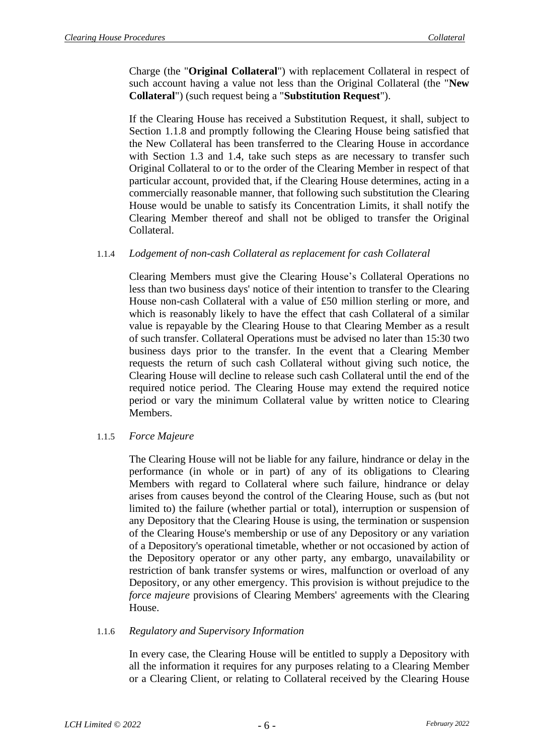Charge (the "**Original Collateral**") with replacement Collateral in respect of such account having a value not less than the Original Collateral (the "**New Collateral**") (such request being a "**Substitution Request**").

If the Clearing House has received a Substitution Request, it shall, subject to Section 1.1.8 and promptly following the Clearing House being satisfied that the New Collateral has been transferred to the Clearing House in accordance with Section [1.3](#page-9-0) and [1.4,](#page-10-0) take such steps as are necessary to transfer such Original Collateral to or to the order of the Clearing Member in respect of that particular account, provided that, if the Clearing House determines, acting in a commercially reasonable manner, that following such substitution the Clearing House would be unable to satisfy its Concentration Limits, it shall notify the Clearing Member thereof and shall not be obliged to transfer the Original Collateral.

# 1.1.4 *Lodgement of non-cash Collateral as replacement for cash Collateral*

Clearing Members must give the Clearing House's Collateral Operations no less than two business days' notice of their intention to transfer to the Clearing House non-cash Collateral with a value of £50 million sterling or more, and which is reasonably likely to have the effect that cash Collateral of a similar value is repayable by the Clearing House to that Clearing Member as a result of such transfer. Collateral Operations must be advised no later than 15:30 two business days prior to the transfer. In the event that a Clearing Member requests the return of such cash Collateral without giving such notice, the Clearing House will decline to release such cash Collateral until the end of the required notice period. The Clearing House may extend the required notice period or vary the minimum Collateral value by written notice to Clearing Members.

# 1.1.5 *Force Majeure*

The Clearing House will not be liable for any failure, hindrance or delay in the performance (in whole or in part) of any of its obligations to Clearing Members with regard to Collateral where such failure, hindrance or delay arises from causes beyond the control of the Clearing House, such as (but not limited to) the failure (whether partial or total), interruption or suspension of any Depository that the Clearing House is using, the termination or suspension of the Clearing House's membership or use of any Depository or any variation of a Depository's operational timetable, whether or not occasioned by action of the Depository operator or any other party, any embargo, unavailability or restriction of bank transfer systems or wires, malfunction or overload of any Depository, or any other emergency. This provision is without prejudice to the *force majeure* provisions of Clearing Members' agreements with the Clearing House.

#### 1.1.6 *Regulatory and Supervisory Information*

In every case, the Clearing House will be entitled to supply a Depository with all the information it requires for any purposes relating to a Clearing Member or a Clearing Client, or relating to Collateral received by the Clearing House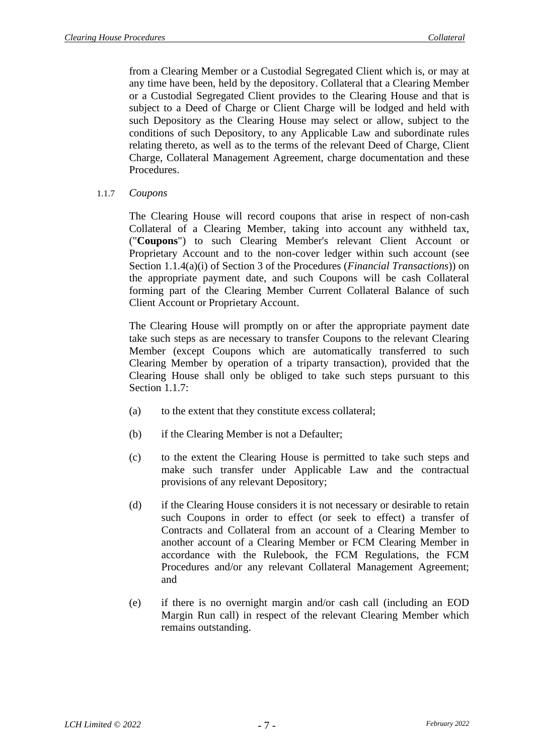from a Clearing Member or a Custodial Segregated Client which is, or may at any time have been, held by the depository. Collateral that a Clearing Member or a Custodial Segregated Client provides to the Clearing House and that is subject to a Deed of Charge or Client Charge will be lodged and held with such Depository as the Clearing House may select or allow, subject to the conditions of such Depository, to any Applicable Law and subordinate rules relating thereto, as well as to the terms of the relevant Deed of Charge, Client Charge, Collateral Management Agreement, charge documentation and these Procedures.

1.1.7 *Coupons* 

The Clearing House will record coupons that arise in respect of non-cash Collateral of a Clearing Member, taking into account any withheld tax, ("**Coupons**") to such Clearing Member's relevant Client Account or Proprietary Account and to the non-cover ledger within such account (see Section 1.1.4(a)(i) of Section 3 of the Procedures (*Financial Transactions*)) on the appropriate payment date, and such Coupons will be cash Collateral forming part of the Clearing Member Current Collateral Balance of such Client Account or Proprietary Account.

The Clearing House will promptly on or after the appropriate payment date take such steps as are necessary to transfer Coupons to the relevant Clearing Member (except Coupons which are automatically transferred to such Clearing Member by operation of a triparty transaction), provided that the Clearing House shall only be obliged to take such steps pursuant to this Section 1.1.7:

- (a) to the extent that they constitute excess collateral;
- (b) if the Clearing Member is not a Defaulter;
- (c) to the extent the Clearing House is permitted to take such steps and make such transfer under Applicable Law and the contractual provisions of any relevant Depository;
- (d) if the Clearing House considers it is not necessary or desirable to retain such Coupons in order to effect (or seek to effect) a transfer of Contracts and Collateral from an account of a Clearing Member to another account of a Clearing Member or FCM Clearing Member in accordance with the Rulebook, the FCM Regulations, the FCM Procedures and/or any relevant Collateral Management Agreement; and
- (e) if there is no overnight margin and/or cash call (including an EOD Margin Run call) in respect of the relevant Clearing Member which remains outstanding.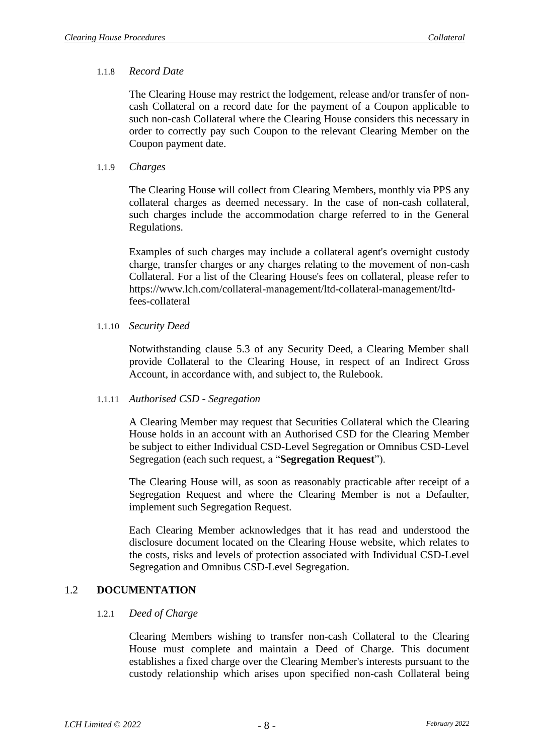# 1.1.8 *Record Date*

The Clearing House may restrict the lodgement, release and/or transfer of noncash Collateral on a record date for the payment of a Coupon applicable to such non-cash Collateral where the Clearing House considers this necessary in order to correctly pay such Coupon to the relevant Clearing Member on the Coupon payment date.

# 1.1.9 *Charges*

The Clearing House will collect from Clearing Members, monthly via PPS any collateral charges as deemed necessary. In the case of non-cash collateral, such charges include the accommodation charge referred to in the General Regulations.

Examples of such charges may include a collateral agent's overnight custody charge, transfer charges or any charges relating to the movement of non-cash Collateral. For a list of the Clearing House's fees on collateral, please refer to https://www.lch.com/collateral-management/ltd-collateral-management/ltdfees-collateral

# 1.1.10 *Security Deed*

Notwithstanding clause 5.3 of any Security Deed, a Clearing Member shall provide Collateral to the Clearing House, in respect of an Indirect Gross Account, in accordance with, and subject to, the Rulebook.

# 1.1.11 *Authorised CSD - Segregation*

A Clearing Member may request that Securities Collateral which the Clearing House holds in an account with an Authorised CSD for the Clearing Member be subject to either Individual CSD-Level Segregation or Omnibus CSD-Level Segregation (each such request, a "**Segregation Request**").

The Clearing House will, as soon as reasonably practicable after receipt of a Segregation Request and where the Clearing Member is not a Defaulter, implement such Segregation Request.

Each Clearing Member acknowledges that it has read and understood the disclosure document located on the Clearing House website, which relates to the costs, risks and levels of protection associated with Individual CSD-Level Segregation and Omnibus CSD-Level Segregation.

# 1.2 **DOCUMENTATION**

# 1.2.1 *Deed of Charge*

Clearing Members wishing to transfer non-cash Collateral to the Clearing House must complete and maintain a Deed of Charge. This document establishes a fixed charge over the Clearing Member's interests pursuant to the custody relationship which arises upon specified non-cash Collateral being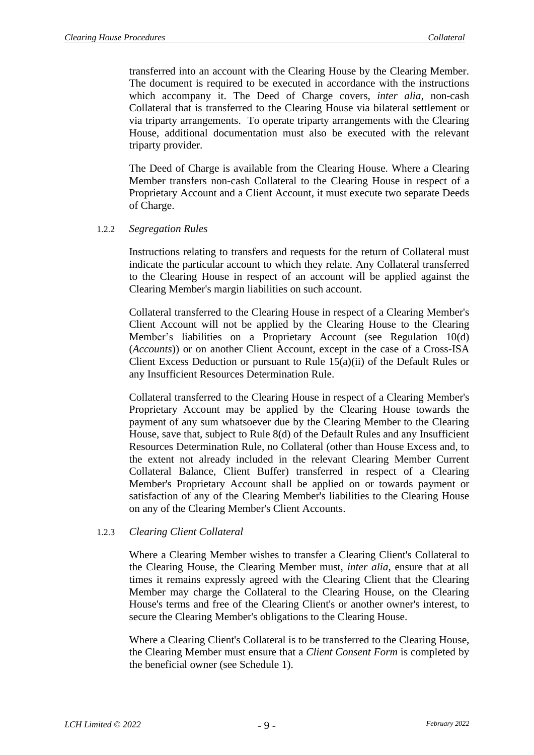transferred into an account with the Clearing House by the Clearing Member. The document is required to be executed in accordance with the instructions which accompany it. The Deed of Charge covers, *inter alia*, non-cash Collateral that is transferred to the Clearing House via bilateral settlement or via triparty arrangements. To operate triparty arrangements with the Clearing House, additional documentation must also be executed with the relevant triparty provider.

The Deed of Charge is available from the Clearing House. Where a Clearing Member transfers non-cash Collateral to the Clearing House in respect of a Proprietary Account and a Client Account, it must execute two separate Deeds of Charge.

#### 1.2.2 *Segregation Rules*

Instructions relating to transfers and requests for the return of Collateral must indicate the particular account to which they relate. Any Collateral transferred to the Clearing House in respect of an account will be applied against the Clearing Member's margin liabilities on such account.

Collateral transferred to the Clearing House in respect of a Clearing Member's Client Account will not be applied by the Clearing House to the Clearing Member's liabilities on a Proprietary Account (see Regulation 10(d) (*Accounts*)) or on another Client Account, except in the case of a Cross-ISA Client Excess Deduction or pursuant to Rule 15(a)(ii) of the Default Rules or any Insufficient Resources Determination Rule.

Collateral transferred to the Clearing House in respect of a Clearing Member's Proprietary Account may be applied by the Clearing House towards the payment of any sum whatsoever due by the Clearing Member to the Clearing House, save that, subject to Rule 8(d) of the Default Rules and any Insufficient Resources Determination Rule, no Collateral (other than House Excess and, to the extent not already included in the relevant Clearing Member Current Collateral Balance, Client Buffer) transferred in respect of a Clearing Member's Proprietary Account shall be applied on or towards payment or satisfaction of any of the Clearing Member's liabilities to the Clearing House on any of the Clearing Member's Client Accounts.

#### 1.2.3 *Clearing Client Collateral*

Where a Clearing Member wishes to transfer a Clearing Client's Collateral to the Clearing House, the Clearing Member must, *inter alia*, ensure that at all times it remains expressly agreed with the Clearing Client that the Clearing Member may charge the Collateral to the Clearing House, on the Clearing House's terms and free of the Clearing Client's or another owner's interest, to secure the Clearing Member's obligations to the Clearing House.

Where a Clearing Client's Collateral is to be transferred to the Clearing House, the Clearing Member must ensure that a *Client Consent Form* is completed by the beneficial owner (see [Schedule 1\)](#page-18-0).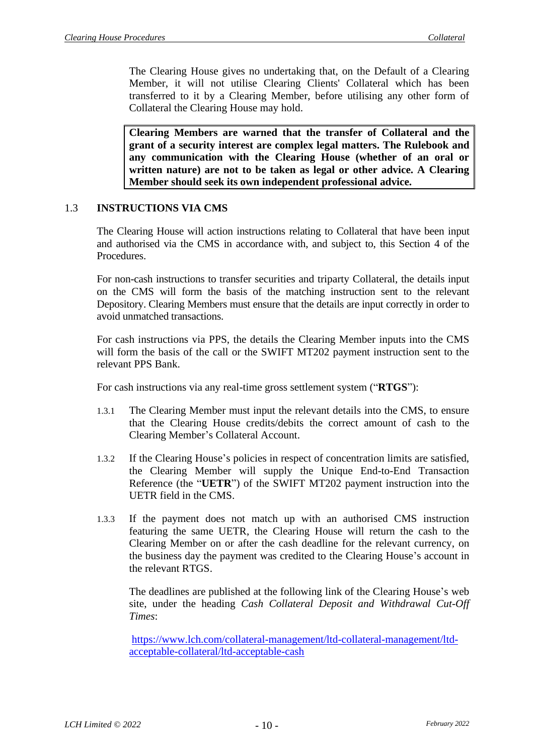The Clearing House gives no undertaking that, on the Default of a Clearing Member, it will not utilise Clearing Clients' Collateral which has been transferred to it by a Clearing Member, before utilising any other form of Collateral the Clearing House may hold.

**Clearing Members are warned that the transfer of Collateral and the grant of a security interest are complex legal matters. The Rulebook and any communication with the Clearing House (whether of an oral or written nature) are not to be taken as legal or other advice. A Clearing Member should seek its own independent professional advice.**

# <span id="page-9-0"></span>1.3 **INSTRUCTIONS VIA CMS**

The Clearing House will action instructions relating to Collateral that have been input and authorised via the CMS in accordance with, and subject to, this Section 4 of the Procedures.

For non-cash instructions to transfer securities and triparty Collateral, the details input on the CMS will form the basis of the matching instruction sent to the relevant Depository. Clearing Members must ensure that the details are input correctly in order to avoid unmatched transactions.

For cash instructions via PPS, the details the Clearing Member inputs into the CMS will form the basis of the call or the SWIFT MT202 payment instruction sent to the relevant PPS Bank.

For cash instructions via any real-time gross settlement system ("**RTGS**"):

- 1.3.1 The Clearing Member must input the relevant details into the CMS, to ensure that the Clearing House credits/debits the correct amount of cash to the Clearing Member's Collateral Account.
- 1.3.2 If the Clearing House's policies in respect of concentration limits are satisfied, the Clearing Member will supply the Unique End-to-End Transaction Reference (the "**UETR**") of the SWIFT MT202 payment instruction into the UETR field in the CMS.
- 1.3.3 If the payment does not match up with an authorised CMS instruction featuring the same UETR, the Clearing House will return the cash to the Clearing Member on or after the cash deadline for the relevant currency, on the business day the payment was credited to the Clearing House's account in the relevant RTGS.

The deadlines are published at the following link of the Clearing House's web site, under the heading *Cash Collateral Deposit and Withdrawal Cut-Off Times*:

[https://www.lch.com/collateral-management/ltd-collateral-management/ltd](https://www.lch.com/collateral-management/ltd-collateral-management/ltd-acceptable-collateral/ltd-acceptable-cash)[acceptable-collateral/ltd-acceptable-cash](https://www.lch.com/collateral-management/ltd-collateral-management/ltd-acceptable-collateral/ltd-acceptable-cash)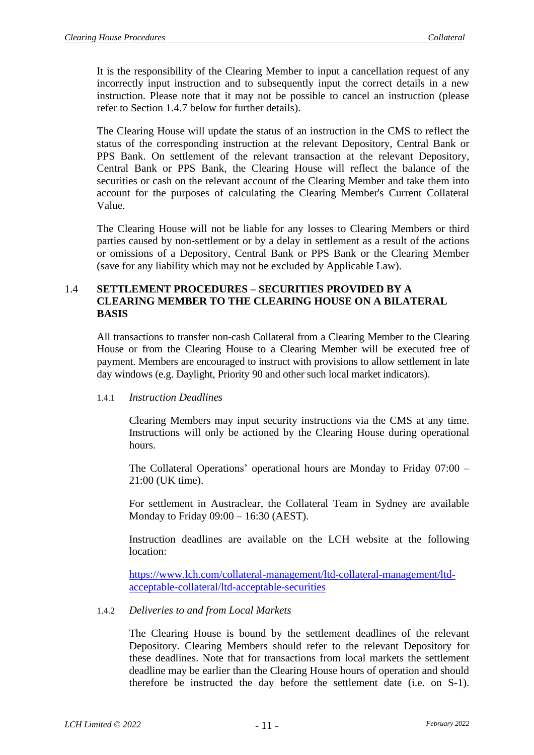It is the responsibility of the Clearing Member to input a cancellation request of any incorrectly input instruction and to subsequently input the correct details in a new instruction. Please note that it may not be possible to cancel an instruction (please refer to Section [1.4.7](#page-12-0) below for further details).

The Clearing House will update the status of an instruction in the CMS to reflect the status of the corresponding instruction at the relevant Depository, Central Bank or PPS Bank. On settlement of the relevant transaction at the relevant Depository, Central Bank or PPS Bank, the Clearing House will reflect the balance of the securities or cash on the relevant account of the Clearing Member and take them into account for the purposes of calculating the Clearing Member's Current Collateral Value.

The Clearing House will not be liable for any losses to Clearing Members or third parties caused by non-settlement or by a delay in settlement as a result of the actions or omissions of a Depository, Central Bank or PPS Bank or the Clearing Member (save for any liability which may not be excluded by Applicable Law).

## <span id="page-10-0"></span>1.4 **SETTLEMENT PROCEDURES – SECURITIES PROVIDED BY A CLEARING MEMBER TO THE CLEARING HOUSE ON A BILATERAL BASIS**

All transactions to transfer non-cash Collateral from a Clearing Member to the Clearing House or from the Clearing House to a Clearing Member will be executed free of payment. Members are encouraged to instruct with provisions to allow settlement in late day windows (e.g. Daylight, Priority 90 and other such local market indicators).

#### 1.4.1 *Instruction Deadlines*

Clearing Members may input security instructions via the CMS at any time. Instructions will only be actioned by the Clearing House during operational hours.

The Collateral Operations' operational hours are Monday to Friday 07:00 – 21:00 (UK time).

For settlement in Austraclear, the Collateral Team in Sydney are available Monday to Friday 09:00 – 16:30 (AEST).

Instruction deadlines are available on the LCH website at the following location:

[https://www.lch.com/collateral-management/ltd-collateral-management/ltd](https://www.lch.com/collateral-management/ltd-collateral-management/ltd-acceptable-collateral/ltd-acceptable-securities)[acceptable-collateral/ltd-acceptable-securities](https://www.lch.com/collateral-management/ltd-collateral-management/ltd-acceptable-collateral/ltd-acceptable-securities)

# 1.4.2 *Deliveries to and from Local Markets*

The Clearing House is bound by the settlement deadlines of the relevant Depository. Clearing Members should refer to the relevant Depository for these deadlines. Note that for transactions from local markets the settlement deadline may be earlier than the Clearing House hours of operation and should therefore be instructed the day before the settlement date (i.e. on S-1).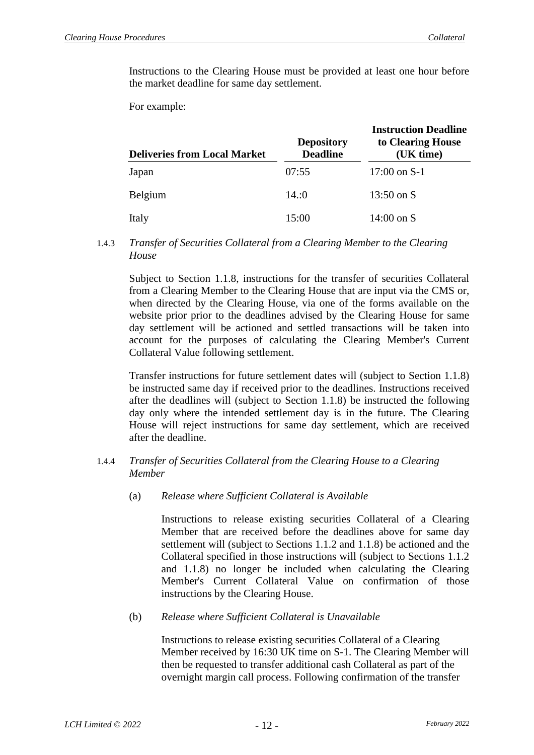Instructions to the Clearing House must be provided at least one hour before the market deadline for same day settlement.

For example:

| <b>Deliveries from Local Market</b> | <b>Depository</b><br><b>Deadline</b> | <b>Instruction Deadline</b><br>to Clearing House<br>(UK time) |  |
|-------------------------------------|--------------------------------------|---------------------------------------------------------------|--|
| Japan                               | 07:55                                | $17:00$ on S-1                                                |  |
| <b>Belgium</b>                      | 14:0                                 | 13:50 on $S$                                                  |  |
| Italy                               | 15:00                                | $14:00$ on S                                                  |  |

1.4.3 *Transfer of Securities Collateral from a Clearing Member to the Clearing House*

Subject to Section 1.1.8, instructions for the transfer of securities Collateral from a Clearing Member to the Clearing House that are input via the CMS or, when directed by the Clearing House, via one of the forms available on the website prior prior to the deadlines advised by the Clearing House for same day settlement will be actioned and settled transactions will be taken into account for the purposes of calculating the Clearing Member's Current Collateral Value following settlement.

Transfer instructions for future settlement dates will (subject to Section 1.1.8) be instructed same day if received prior to the deadlines. Instructions received after the deadlines will (subject to Section 1.1.8) be instructed the following day only where the intended settlement day is in the future. The Clearing House will reject instructions for same day settlement, which are received after the deadline.

### 1.4.4 *Transfer of Securities Collateral from the Clearing House to a Clearing Member*

(a) *Release where Sufficient Collateral is Available*

Instructions to release existing securities Collateral of a Clearing Member that are received before the deadlines above for same day settlement will (subject to Sections 1.1.2 and 1.1.8) be actioned and the Collateral specified in those instructions will (subject to Sections 1.1.2 and 1.1.8) no longer be included when calculating the Clearing Member's Current Collateral Value on confirmation of those instructions by the Clearing House.

(b) *Release where Sufficient Collateral is Unavailable*

Instructions to release existing securities Collateral of a Clearing Member received by 16:30 UK time on S-1. The Clearing Member will then be requested to transfer additional cash Collateral as part of the overnight margin call process. Following confirmation of the transfer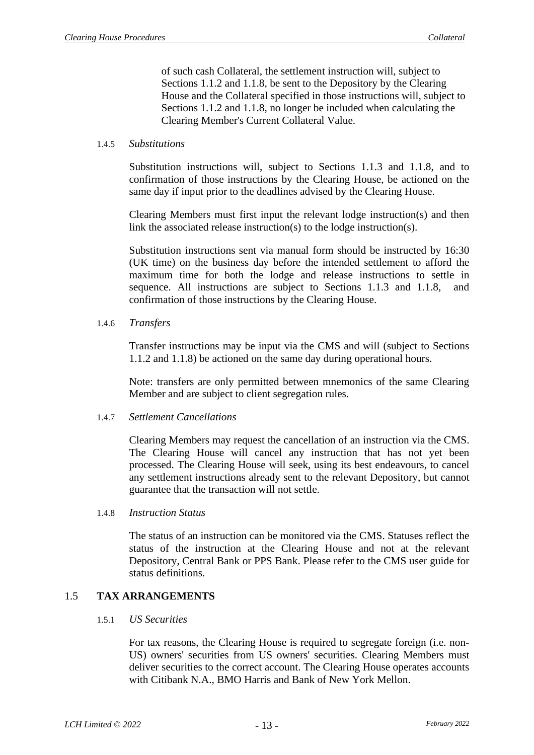of such cash Collateral, the settlement instruction will, subject to Sections 1.1.2 and 1.1.8, be sent to the Depository by the Clearing House and the Collateral specified in those instructions will, subject to Sections 1.1.2 and 1.1.8, no longer be included when calculating the Clearing Member's Current Collateral Value.

#### 1.4.5 *Substitutions*

Substitution instructions will, subject to Sections [1.1.3](#page-4-0) and 1.1.8, and to confirmation of those instructions by the Clearing House, be actioned on the same day if input prior to the deadlines advised by the Clearing House.

Clearing Members must first input the relevant lodge instruction(s) and then link the associated release instruction(s) to the lodge instruction(s).

Substitution instructions sent via manual form should be instructed by 16:30 (UK time) on the business day before the intended settlement to afford the maximum time for both the lodge and release instructions to settle in sequence. All instructions are subject to Sections 1.1.3 and 1.1.8, and confirmation of those instructions by the Clearing House.

1.4.6 *Transfers*

Transfer instructions may be input via the CMS and will (subject to Sections 1.1.2 and 1.1.8) be actioned on the same day during operational hours.

Note: transfers are only permitted between mnemonics of the same Clearing Member and are subject to client segregation rules.

#### <span id="page-12-0"></span>1.4.7 *Settlement Cancellations*

Clearing Members may request the cancellation of an instruction via the CMS. The Clearing House will cancel any instruction that has not yet been processed. The Clearing House will seek, using its best endeavours, to cancel any settlement instructions already sent to the relevant Depository, but cannot guarantee that the transaction will not settle.

#### 1.4.8 *Instruction Status*

The status of an instruction can be monitored via the CMS. Statuses reflect the status of the instruction at the Clearing House and not at the relevant Depository, Central Bank or PPS Bank. Please refer to the CMS user guide for status definitions.

### 1.5 **TAX ARRANGEMENTS**

#### 1.5.1 *US Securities*

For tax reasons, the Clearing House is required to segregate foreign (i.e. non-US) owners' securities from US owners' securities. Clearing Members must deliver securities to the correct account. The Clearing House operates accounts with Citibank N.A., BMO Harris and Bank of New York Mellon.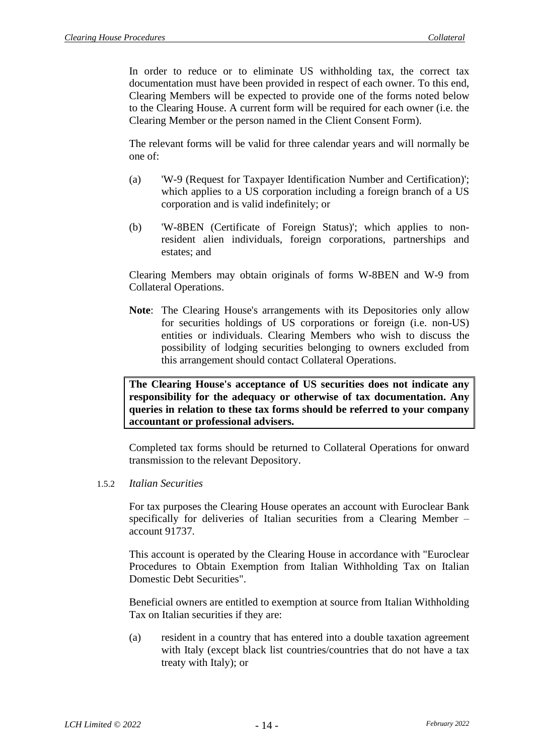In order to reduce or to eliminate US withholding tax, the correct tax documentation must have been provided in respect of each owner. To this end, Clearing Members will be expected to provide one of the forms noted below to the Clearing House. A current form will be required for each owner (i.e. the Clearing Member or the person named in the Client Consent Form).

The relevant forms will be valid for three calendar years and will normally be one of:

- (a) 'W-9 (Request for Taxpayer Identification Number and Certification)'; which applies to a US corporation including a foreign branch of a US corporation and is valid indefinitely; or
- (b) 'W-8BEN (Certificate of Foreign Status)'; which applies to nonresident alien individuals, foreign corporations, partnerships and estates; and

Clearing Members may obtain originals of forms W-8BEN and W-9 from Collateral Operations.

**Note**: The Clearing House's arrangements with its Depositories only allow for securities holdings of US corporations or foreign (i.e. non-US) entities or individuals. Clearing Members who wish to discuss the possibility of lodging securities belonging to owners excluded from this arrangement should contact Collateral Operations.

**The Clearing House's acceptance of US securities does not indicate any responsibility for the adequacy or otherwise of tax documentation. Any queries in relation to these tax forms should be referred to your company accountant or professional advisers.**

Completed tax forms should be returned to Collateral Operations for onward transmission to the relevant Depository.

#### 1.5.2 *Italian Securities*

For tax purposes the Clearing House operates an account with Euroclear Bank specifically for deliveries of Italian securities from a Clearing Member – account 91737.

This account is operated by the Clearing House in accordance with "Euroclear Procedures to Obtain Exemption from Italian Withholding Tax on Italian Domestic Debt Securities".

Beneficial owners are entitled to exemption at source from Italian Withholding Tax on Italian securities if they are:

(a) resident in a country that has entered into a double taxation agreement with Italy (except black list countries/countries that do not have a tax treaty with Italy); or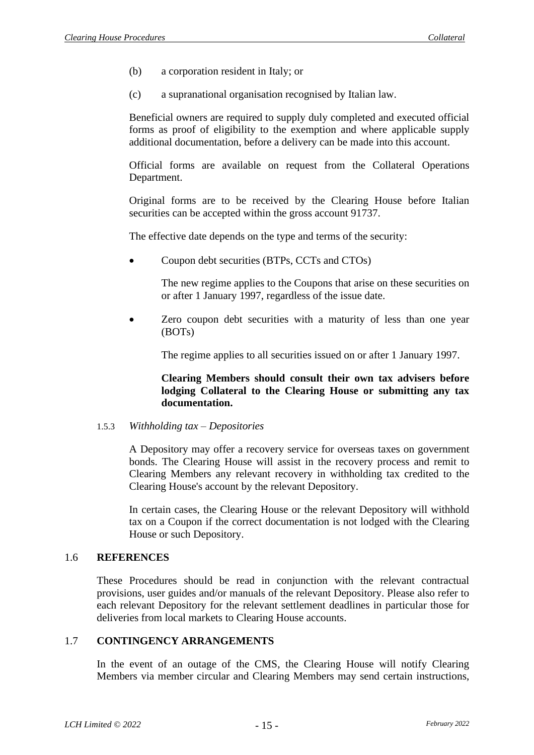- (b) a corporation resident in Italy; or
- (c) a supranational organisation recognised by Italian law.

Beneficial owners are required to supply duly completed and executed official forms as proof of eligibility to the exemption and where applicable supply additional documentation, before a delivery can be made into this account.

Official forms are available on request from the Collateral Operations Department.

Original forms are to be received by the Clearing House before Italian securities can be accepted within the gross account 91737.

The effective date depends on the type and terms of the security:

• Coupon debt securities (BTPs, CCTs and CTOs)

The new regime applies to the Coupons that arise on these securities on or after 1 January 1997, regardless of the issue date.

• Zero coupon debt securities with a maturity of less than one year (BOTs)

The regime applies to all securities issued on or after 1 January 1997.

**Clearing Members should consult their own tax advisers before lodging Collateral to the Clearing House or submitting any tax documentation.**

#### 1.5.3 *Withholding tax – Depositories*

A Depository may offer a recovery service for overseas taxes on government bonds. The Clearing House will assist in the recovery process and remit to Clearing Members any relevant recovery in withholding tax credited to the Clearing House's account by the relevant Depository.

In certain cases, the Clearing House or the relevant Depository will withhold tax on a Coupon if the correct documentation is not lodged with the Clearing House or such Depository.

### 1.6 **REFERENCES**

These Procedures should be read in conjunction with the relevant contractual provisions, user guides and/or manuals of the relevant Depository. Please also refer to each relevant Depository for the relevant settlement deadlines in particular those for deliveries from local markets to Clearing House accounts.

#### 1.7 **CONTINGENCY ARRANGEMENTS**

In the event of an outage of the CMS, the Clearing House will notify Clearing Members via member circular and Clearing Members may send certain instructions,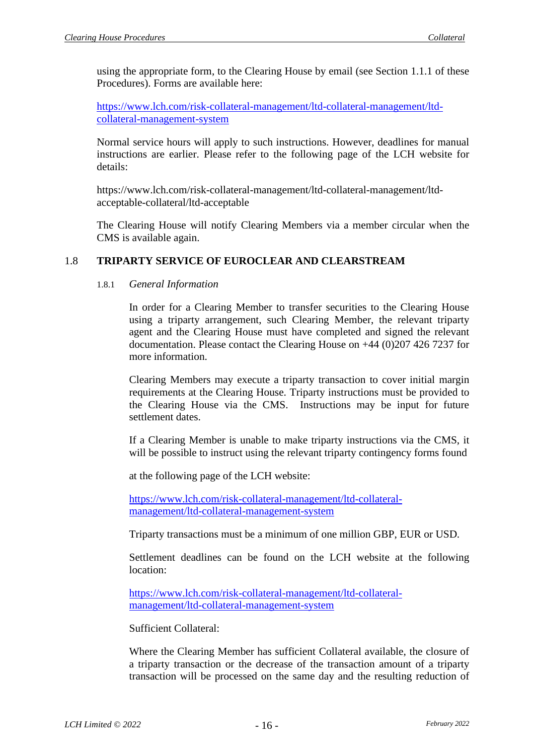using the appropriate form, to the Clearing House by email (see Section 1.1.1 of these Procedures). Forms are available here:

[https://www.lch.com/risk-collateral-management/ltd-collateral-management/ltd](https://www.lch.com/risk-collateral-management/ltd-collateral-management/ltd-collateral-management-system)[collateral-management-system](https://www.lch.com/risk-collateral-management/ltd-collateral-management/ltd-collateral-management-system)

Normal service hours will apply to such instructions. However, deadlines for manual instructions are earlier. Please refer to the following page of the LCH website for details:

https://www.lch.com/risk-collateral-management/ltd-collateral-management/ltdacceptable-collateral/ltd-acceptable

The Clearing House will notify Clearing Members via a member circular when the CMS is available again.

# 1.8 **TRIPARTY SERVICE OF EUROCLEAR AND CLEARSTREAM**

### 1.8.1 *General Information*

In order for a Clearing Member to transfer securities to the Clearing House using a triparty arrangement, such Clearing Member, the relevant triparty agent and the Clearing House must have completed and signed the relevant documentation. Please contact the Clearing House on +44 (0)207 426 7237 for more information.

Clearing Members may execute a triparty transaction to cover initial margin requirements at the Clearing House. Triparty instructions must be provided to the Clearing House via the CMS. Instructions may be input for future settlement dates.

If a Clearing Member is unable to make triparty instructions via the CMS, it will be possible to instruct using the relevant triparty contingency forms found

at the following page of the LCH website:

[https://www.lch.com/risk-collateral-management/ltd-collateral](https://www.lch.com/risk-collateral-management/ltd-collateral-management/ltd-collateral-management-system)[management/ltd-collateral-management-system](https://www.lch.com/risk-collateral-management/ltd-collateral-management/ltd-collateral-management-system)

Triparty transactions must be a minimum of one million GBP, EUR or USD.

Settlement deadlines can be found on the LCH website at the following location:

[https://www.lch.com/risk-collateral-management/ltd-collateral](https://www.lch.com/risk-collateral-management/ltd-collateral-management/ltd-collateral-management-system)[management/ltd-collateral-management-system](https://www.lch.com/risk-collateral-management/ltd-collateral-management/ltd-collateral-management-system)

Sufficient Collateral:

Where the Clearing Member has sufficient Collateral available, the closure of a triparty transaction or the decrease of the transaction amount of a triparty transaction will be processed on the same day and the resulting reduction of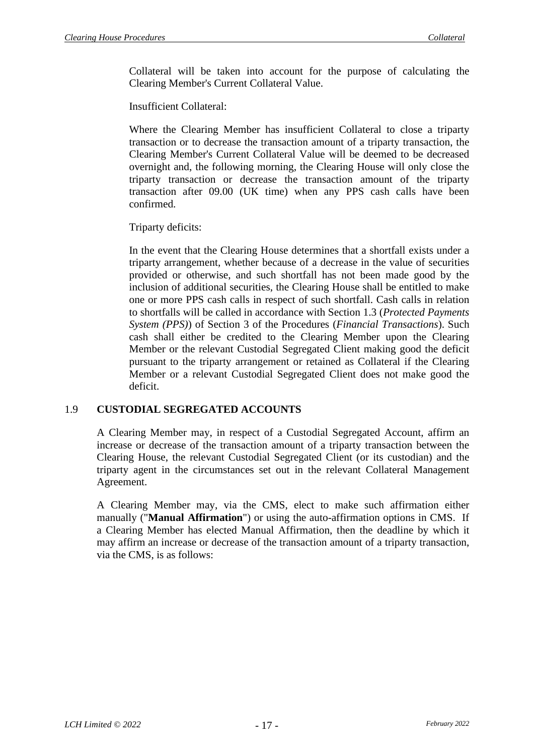Collateral will be taken into account for the purpose of calculating the Clearing Member's Current Collateral Value.

Insufficient Collateral:

Where the Clearing Member has insufficient Collateral to close a triparty transaction or to decrease the transaction amount of a triparty transaction, the Clearing Member's Current Collateral Value will be deemed to be decreased overnight and, the following morning, the Clearing House will only close the triparty transaction or decrease the transaction amount of the triparty transaction after 09.00 (UK time) when any PPS cash calls have been confirmed.

Triparty deficits:

In the event that the Clearing House determines that a shortfall exists under a triparty arrangement, whether because of a decrease in the value of securities provided or otherwise, and such shortfall has not been made good by the inclusion of additional securities, the Clearing House shall be entitled to make one or more PPS cash calls in respect of such shortfall. Cash calls in relation to shortfalls will be called in accordance with Section 1.3 (*Protected Payments System (PPS)*) of Section 3 of the Procedures (*Financial Transactions*). Such cash shall either be credited to the Clearing Member upon the Clearing Member or the relevant Custodial Segregated Client making good the deficit pursuant to the triparty arrangement or retained as Collateral if the Clearing Member or a relevant Custodial Segregated Client does not make good the deficit.

# 1.9 **CUSTODIAL SEGREGATED ACCOUNTS**

A Clearing Member may, in respect of a Custodial Segregated Account, affirm an increase or decrease of the transaction amount of a triparty transaction between the Clearing House, the relevant Custodial Segregated Client (or its custodian) and the triparty agent in the circumstances set out in the relevant Collateral Management Agreement.

A Clearing Member may, via the CMS, elect to make such affirmation either manually ("**Manual Affirmation**") or using the auto-affirmation options in CMS. If a Clearing Member has elected Manual Affirmation, then the deadline by which it may affirm an increase or decrease of the transaction amount of a triparty transaction, via the CMS, is as follows: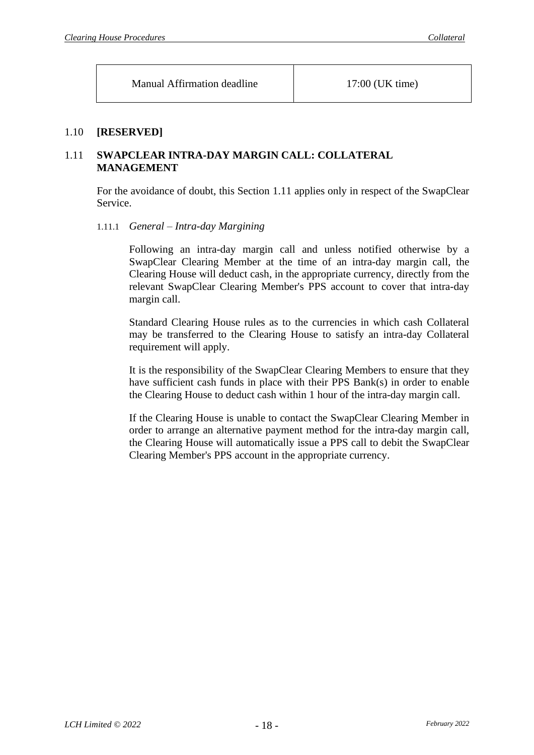Manual Affirmation deadline 17:00 (UK time)

# 1.10 **[RESERVED]**

# <span id="page-17-0"></span>1.11 **SWAPCLEAR INTRA-DAY MARGIN CALL: COLLATERAL MANAGEMENT**

For the avoidance of doubt, this Section [1.11](#page-17-0) applies only in respect of the SwapClear Service.

### 1.11.1 *General – Intra-day Margining*

Following an intra-day margin call and unless notified otherwise by a SwapClear Clearing Member at the time of an intra-day margin call, the Clearing House will deduct cash, in the appropriate currency, directly from the relevant SwapClear Clearing Member's PPS account to cover that intra-day margin call.

Standard Clearing House rules as to the currencies in which cash Collateral may be transferred to the Clearing House to satisfy an intra-day Collateral requirement will apply.

It is the responsibility of the SwapClear Clearing Members to ensure that they have sufficient cash funds in place with their PPS Bank(s) in order to enable the Clearing House to deduct cash within 1 hour of the intra-day margin call.

If the Clearing House is unable to contact the SwapClear Clearing Member in order to arrange an alternative payment method for the intra-day margin call, the Clearing House will automatically issue a PPS call to debit the SwapClear Clearing Member's PPS account in the appropriate currency.